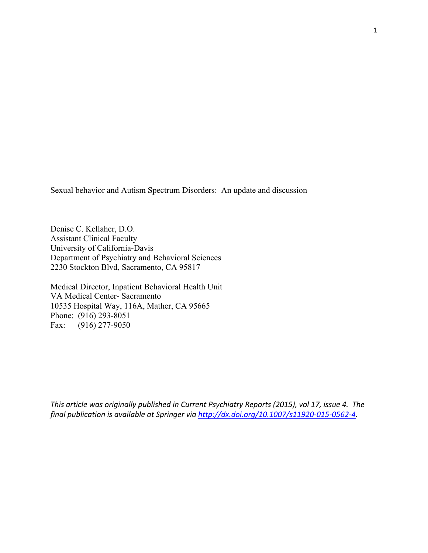Sexual behavior and Autism Spectrum Disorders: An update and discussion

Denise C. Kellaher, D.O. Assistant Clinical Faculty University of California-Davis Department of Psychiatry and Behavioral Sciences 2230 Stockton Blvd, Sacramento, CA 95817

Medical Director, Inpatient Behavioral Health Unit VA Medical Center- Sacramento 10535 Hospital Way, 116A, Mather, CA 95665 Phone: (916) 293-8051 Fax: (916) 277-9050

*This article was originally published in Current Psychiatry Reports (2015), vol 17, issue 4. The final publication is available at Springer via http://dx.doi.org/10.1007/s11920-015-0562-4.*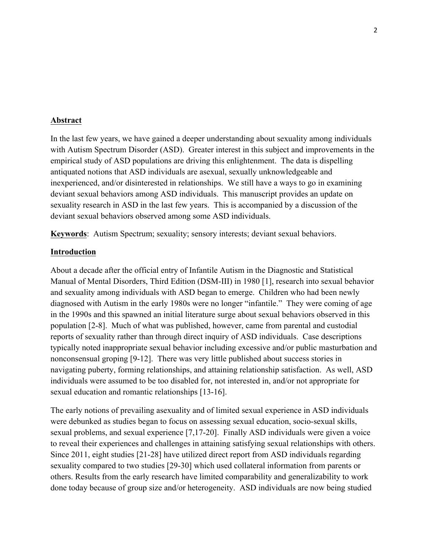#### **Abstract**

In the last few years, we have gained a deeper understanding about sexuality among individuals with Autism Spectrum Disorder (ASD). Greater interest in this subject and improvements in the empirical study of ASD populations are driving this enlightenment. The data is dispelling antiquated notions that ASD individuals are asexual, sexually unknowledgeable and inexperienced, and/or disinterested in relationships. We still have a ways to go in examining deviant sexual behaviors among ASD individuals. This manuscript provides an update on sexuality research in ASD in the last few years. This is accompanied by a discussion of the deviant sexual behaviors observed among some ASD individuals.

**Keywords**: Autism Spectrum; sexuality; sensory interests; deviant sexual behaviors.

## **Introduction**

About a decade after the official entry of Infantile Autism in the Diagnostic and Statistical Manual of Mental Disorders, Third Edition (DSM-III) in 1980 [1], research into sexual behavior and sexuality among individuals with ASD began to emerge. Children who had been newly diagnosed with Autism in the early 1980s were no longer "infantile." They were coming of age in the 1990s and this spawned an initial literature surge about sexual behaviors observed in this population [2-8]. Much of what was published, however, came from parental and custodial reports of sexuality rather than through direct inquiry of ASD individuals. Case descriptions typically noted inappropriate sexual behavior including excessive and/or public masturbation and nonconsensual groping [9-12]. There was very little published about success stories in navigating puberty, forming relationships, and attaining relationship satisfaction. As well, ASD individuals were assumed to be too disabled for, not interested in, and/or not appropriate for sexual education and romantic relationships [13-16].

The early notions of prevailing asexuality and of limited sexual experience in ASD individuals were debunked as studies began to focus on assessing sexual education, socio-sexual skills, sexual problems, and sexual experience [7,17-20]. Finally ASD individuals were given a voice to reveal their experiences and challenges in attaining satisfying sexual relationships with others. Since 2011, eight studies [21-28] have utilized direct report from ASD individuals regarding sexuality compared to two studies [29-30] which used collateral information from parents or others. Results from the early research have limited comparability and generalizability to work done today because of group size and/or heterogeneity. ASD individuals are now being studied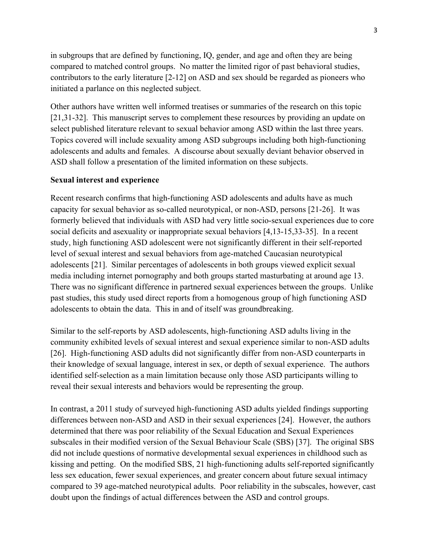in subgroups that are defined by functioning, IQ, gender, and age and often they are being compared to matched control groups. No matter the limited rigor of past behavioral studies, contributors to the early literature [2-12] on ASD and sex should be regarded as pioneers who initiated a parlance on this neglected subject.

Other authors have written well informed treatises or summaries of the research on this topic [21,31-32]. This manuscript serves to complement these resources by providing an update on select published literature relevant to sexual behavior among ASD within the last three years. Topics covered will include sexuality among ASD subgroups including both high-functioning adolescents and adults and females. A discourse about sexually deviant behavior observed in ASD shall follow a presentation of the limited information on these subjects.

## **Sexual interest and experience**

Recent research confirms that high-functioning ASD adolescents and adults have as much capacity for sexual behavior as so-called neurotypical, or non-ASD, persons [21-26]. It was formerly believed that individuals with ASD had very little socio-sexual experiences due to core social deficits and asexuality or inappropriate sexual behaviors [4,13-15,33-35]. In a recent study, high functioning ASD adolescent were not significantly different in their self-reported level of sexual interest and sexual behaviors from age-matched Caucasian neurotypical adolescents [21]. Similar percentages of adolescents in both groups viewed explicit sexual media including internet pornography and both groups started masturbating at around age 13. There was no significant difference in partnered sexual experiences between the groups. Unlike past studies, this study used direct reports from a homogenous group of high functioning ASD adolescents to obtain the data. This in and of itself was groundbreaking.

Similar to the self-reports by ASD adolescents, high-functioning ASD adults living in the community exhibited levels of sexual interest and sexual experience similar to non-ASD adults [26]. High-functioning ASD adults did not significantly differ from non-ASD counterparts in their knowledge of sexual language, interest in sex, or depth of sexual experience. The authors identified self-selection as a main limitation because only those ASD participants willing to reveal their sexual interests and behaviors would be representing the group.

In contrast, a 2011 study of surveyed high-functioning ASD adults yielded findings supporting differences between non-ASD and ASD in their sexual experiences [24]. However, the authors determined that there was poor reliability of the Sexual Education and Sexual Experiences subscales in their modified version of the Sexual Behaviour Scale (SBS) [37]. The original SBS did not include questions of normative developmental sexual experiences in childhood such as kissing and petting. On the modified SBS, 21 high-functioning adults self-reported significantly less sex education, fewer sexual experiences, and greater concern about future sexual intimacy compared to 39 age-matched neurotypical adults. Poor reliability in the subscales, however, cast doubt upon the findings of actual differences between the ASD and control groups.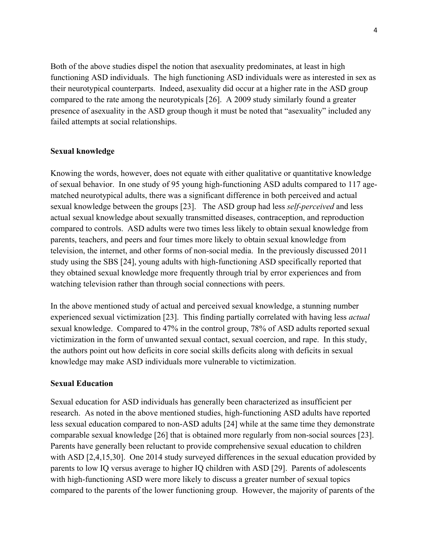Both of the above studies dispel the notion that asexuality predominates, at least in high functioning ASD individuals. The high functioning ASD individuals were as interested in sex as their neurotypical counterparts. Indeed, asexuality did occur at a higher rate in the ASD group compared to the rate among the neurotypicals [26]. A 2009 study similarly found a greater presence of asexuality in the ASD group though it must be noted that "asexuality" included any failed attempts at social relationships.

#### **Sexual knowledge**

Knowing the words, however, does not equate with either qualitative or quantitative knowledge of sexual behavior. In one study of 95 young high-functioning ASD adults compared to 117 agematched neurotypical adults, there was a significant difference in both perceived and actual sexual knowledge between the groups [23]. The ASD group had less *self-perceived* and less actual sexual knowledge about sexually transmitted diseases, contraception, and reproduction compared to controls. ASD adults were two times less likely to obtain sexual knowledge from parents, teachers, and peers and four times more likely to obtain sexual knowledge from television, the internet, and other forms of non-social media. In the previously discussed 2011 study using the SBS [24], young adults with high-functioning ASD specifically reported that they obtained sexual knowledge more frequently through trial by error experiences and from watching television rather than through social connections with peers.

In the above mentioned study of actual and perceived sexual knowledge, a stunning number experienced sexual victimization [23]. This finding partially correlated with having less *actual* sexual knowledge. Compared to 47% in the control group, 78% of ASD adults reported sexual victimization in the form of unwanted sexual contact, sexual coercion, and rape. In this study, the authors point out how deficits in core social skills deficits along with deficits in sexual knowledge may make ASD individuals more vulnerable to victimization.

#### **Sexual Education**

Sexual education for ASD individuals has generally been characterized as insufficient per research. As noted in the above mentioned studies, high-functioning ASD adults have reported less sexual education compared to non-ASD adults [24] while at the same time they demonstrate comparable sexual knowledge [26] that is obtained more regularly from non-social sources [23]. Parents have generally been reluctant to provide comprehensive sexual education to children with ASD [2,4,15,30]. One 2014 study surveyed differences in the sexual education provided by parents to low IQ versus average to higher IQ children with ASD [29]. Parents of adolescents with high-functioning ASD were more likely to discuss a greater number of sexual topics compared to the parents of the lower functioning group. However, the majority of parents of the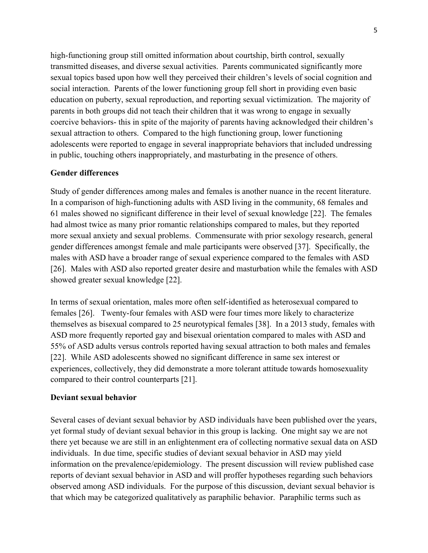high-functioning group still omitted information about courtship, birth control, sexually transmitted diseases, and diverse sexual activities. Parents communicated significantly more sexual topics based upon how well they perceived their children's levels of social cognition and social interaction. Parents of the lower functioning group fell short in providing even basic education on puberty, sexual reproduction, and reporting sexual victimization. The majority of parents in both groups did not teach their children that it was wrong to engage in sexually coercive behaviors- this in spite of the majority of parents having acknowledged their children's sexual attraction to others. Compared to the high functioning group, lower functioning adolescents were reported to engage in several inappropriate behaviors that included undressing in public, touching others inappropriately, and masturbating in the presence of others.

## **Gender differences**

Study of gender differences among males and females is another nuance in the recent literature. In a comparison of high-functioning adults with ASD living in the community, 68 females and 61 males showed no significant difference in their level of sexual knowledge [22]. The females had almost twice as many prior romantic relationships compared to males, but they reported more sexual anxiety and sexual problems. Commensurate with prior sexology research, general gender differences amongst female and male participants were observed [37]. Specifically, the males with ASD have a broader range of sexual experience compared to the females with ASD [26]. Males with ASD also reported greater desire and masturbation while the females with ASD showed greater sexual knowledge [22].

In terms of sexual orientation, males more often self-identified as heterosexual compared to females [26]. Twenty-four females with ASD were four times more likely to characterize themselves as bisexual compared to 25 neurotypical females [38]. In a 2013 study, females with ASD more frequently reported gay and bisexual orientation compared to males with ASD and 55% of ASD adults versus controls reported having sexual attraction to both males and females [22]. While ASD adolescents showed no significant difference in same sex interest or experiences, collectively, they did demonstrate a more tolerant attitude towards homosexuality compared to their control counterparts [21].

## **Deviant sexual behavior**

Several cases of deviant sexual behavior by ASD individuals have been published over the years, yet formal study of deviant sexual behavior in this group is lacking. One might say we are not there yet because we are still in an enlightenment era of collecting normative sexual data on ASD individuals. In due time, specific studies of deviant sexual behavior in ASD may yield information on the prevalence/epidemiology. The present discussion will review published case reports of deviant sexual behavior in ASD and will proffer hypotheses regarding such behaviors observed among ASD individuals. For the purpose of this discussion, deviant sexual behavior is that which may be categorized qualitatively as paraphilic behavior. Paraphilic terms such as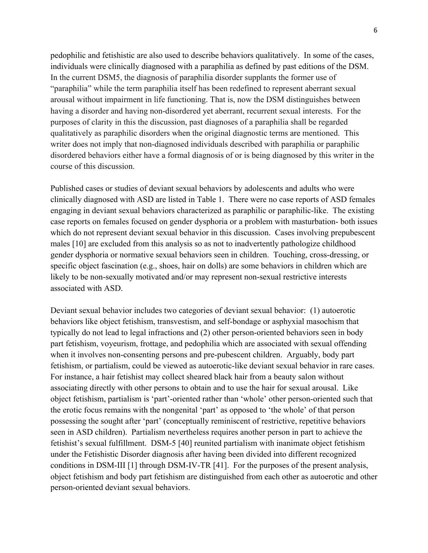pedophilic and fetishistic are also used to describe behaviors qualitatively. In some of the cases, individuals were clinically diagnosed with a paraphilia as defined by past editions of the DSM. In the current DSM5, the diagnosis of paraphilia disorder supplants the former use of "paraphilia" while the term paraphilia itself has been redefined to represent aberrant sexual arousal without impairment in life functioning. That is, now the DSM distinguishes between having a disorder and having non-disordered yet aberrant, recurrent sexual interests. For the purposes of clarity in this the discussion, past diagnoses of a paraphilia shall be regarded qualitatively as paraphilic disorders when the original diagnostic terms are mentioned. This writer does not imply that non-diagnosed individuals described with paraphilia or paraphilic disordered behaviors either have a formal diagnosis of or is being diagnosed by this writer in the course of this discussion.

Published cases or studies of deviant sexual behaviors by adolescents and adults who were clinically diagnosed with ASD are listed in Table 1. There were no case reports of ASD females engaging in deviant sexual behaviors characterized as paraphilic or paraphilic-like. The existing case reports on females focused on gender dysphoria or a problem with masturbation- both issues which do not represent deviant sexual behavior in this discussion. Cases involving prepubescent males [10] are excluded from this analysis so as not to inadvertently pathologize childhood gender dysphoria or normative sexual behaviors seen in children. Touching, cross-dressing, or specific object fascination (e.g., shoes, hair on dolls) are some behaviors in children which are likely to be non-sexually motivated and/or may represent non-sexual restrictive interests associated with ASD.

Deviant sexual behavior includes two categories of deviant sexual behavior: (1) autoerotic behaviors like object fetishism, transvestism, and self-bondage or asphyxial masochism that typically do not lead to legal infractions and (2) other person-oriented behaviors seen in body part fetishism, voyeurism, frottage, and pedophilia which are associated with sexual offending when it involves non-consenting persons and pre-pubescent children. Arguably, body part fetishism, or partialism, could be viewed as autoerotic-like deviant sexual behavior in rare cases. For instance, a hair fetishist may collect sheared black hair from a beauty salon without associating directly with other persons to obtain and to use the hair for sexual arousal. Like object fetishism, partialism is 'part'-oriented rather than 'whole' other person-oriented such that the erotic focus remains with the nongenital 'part' as opposed to 'the whole' of that person possessing the sought after 'part' (conceptually reminiscent of restrictive, repetitive behaviors seen in ASD children). Partialism nevertheless requires another person in part to achieve the fetishist's sexual fulfillment. DSM-5 [40] reunited partialism with inanimate object fetishism under the Fetishistic Disorder diagnosis after having been divided into different recognized conditions in DSM-III [1] through DSM-IV-TR [41]. For the purposes of the present analysis, object fetishism and body part fetishism are distinguished from each other as autoerotic and other person-oriented deviant sexual behaviors.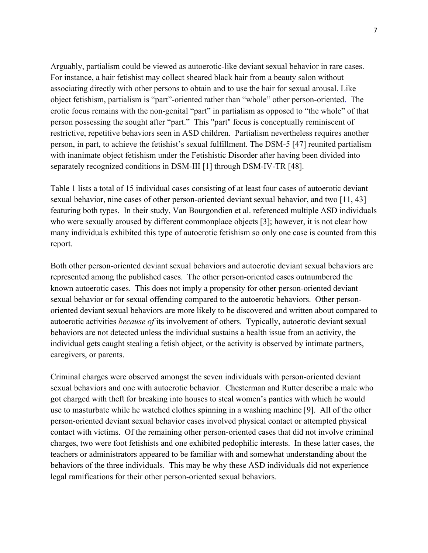Arguably, partialism could be viewed as autoerotic-like deviant sexual behavior in rare cases. For instance, a hair fetishist may collect sheared black hair from a beauty salon without associating directly with other persons to obtain and to use the hair for sexual arousal. Like object fetishism, partialism is "part"-oriented rather than "whole" other person-oriented. The erotic focus remains with the non-genital "part" in partialism as opposed to "the whole" of that person possessing the sought after "part." This "part" focus is conceptually reminiscent of restrictive, repetitive behaviors seen in ASD children. Partialism nevertheless requires another person, in part, to achieve the fetishist's sexual fulfillment. The DSM-5 [47] reunited partialism with inanimate object fetishism under the Fetishistic Disorder after having been divided into separately recognized conditions in DSM-III [1] through DSM-IV-TR [48].

Table 1 lists a total of 15 individual cases consisting of at least four cases of autoerotic deviant sexual behavior, nine cases of other person-oriented deviant sexual behavior, and two [11, 43] featuring both types. In their study, Van Bourgondien et al. referenced multiple ASD individuals who were sexually aroused by different commonplace objects [3]; however, it is not clear how many individuals exhibited this type of autoerotic fetishism so only one case is counted from this report.

Both other person-oriented deviant sexual behaviors and autoerotic deviant sexual behaviors are represented among the published cases. The other person-oriented cases outnumbered the known autoerotic cases. This does not imply a propensity for other person-oriented deviant sexual behavior or for sexual offending compared to the autoerotic behaviors. Other personoriented deviant sexual behaviors are more likely to be discovered and written about compared to autoerotic activities *because of* its involvement of others. Typically, autoerotic deviant sexual behaviors are not detected unless the individual sustains a health issue from an activity, the individual gets caught stealing a fetish object, or the activity is observed by intimate partners, caregivers, or parents.

Criminal charges were observed amongst the seven individuals with person-oriented deviant sexual behaviors and one with autoerotic behavior. Chesterman and Rutter describe a male who got charged with theft for breaking into houses to steal women's panties with which he would use to masturbate while he watched clothes spinning in a washing machine [9]. All of the other person-oriented deviant sexual behavior cases involved physical contact or attempted physical contact with victims. Of the remaining other person-oriented cases that did not involve criminal charges, two were foot fetishists and one exhibited pedophilic interests. In these latter cases, the teachers or administrators appeared to be familiar with and somewhat understanding about the behaviors of the three individuals. This may be why these ASD individuals did not experience legal ramifications for their other person-oriented sexual behaviors.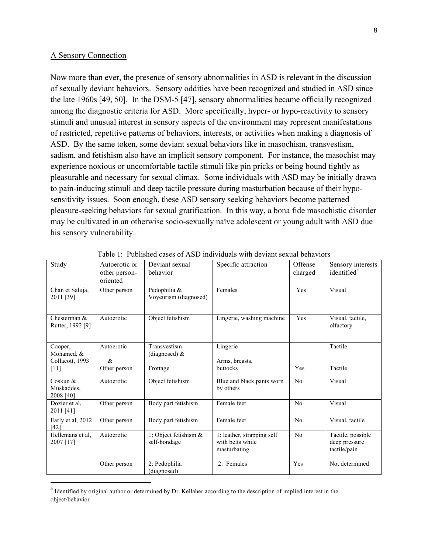#### A Sensory Connection

Now more than ever, the presence of sensory abnormalities in ASD is relevant in the discussion of sexually deviant behaviors. Sensory oddities have been recognized and studied in ASD since the late 1960s [49, 50]. In the DSM-5 [47], sensory abnormalities became officially recognized among the diagnostic criteria for ASD. More specifically, hyper- or hypo-reactivity to sensory stimuli and unusual interest in sensory aspects of the environment may represent manifestations of restricted, repetitive patterns of behaviors, interests, or activities when making a diagnosis of ASD. By the same token, some deviant sexual behaviors like in masochism, transvestism, sadism, and fetishism also have an implicit sensory component. For instance, the masochist may experience noxious or uncomfortable tactile stimuli like pin pricks or being bound tightly as pleasurable and necessary for sexual climax. Some individuals with ASD may be initially drawn to pain-inducing stimuli and deep tactile pressure during masturbation because of their hyposensitivity issues. Soon enough, these ASD sensory seeking behaviors become patterned pleasure-seeking behaviors for sexual gratification. In this way, a bona fide masochistic disorder may be cultivated in an otherwise socio-sexually naïve adolescent or young adult with ASD due his sensory vulnerability.

| Study                                  | Autoerotic or<br>other person-<br>oriented | Deviant sexual<br>behavior            | Specific attraction                                            | Offense<br>charged | Sensory interests<br>identified <sup>a</sup>       |
|----------------------------------------|--------------------------------------------|---------------------------------------|----------------------------------------------------------------|--------------------|----------------------------------------------------|
| Chan et Saluja,<br>2011 [39]           | Other person                               | Pedophilia &<br>Voyeurism (diagnosed) | Females                                                        | Yes                | Visual                                             |
| Chesterman $\&$<br>Rutter, 1992 [9]    | Autoerotic                                 | Object fetishism                      | Lingerie, washing machine                                      | Yes                | Visual, tactile,<br>olfactory                      |
| Cooper,<br>Mohamed, &                  | Autoerotic                                 | Transvestism<br>(diagnosed) $\&$      | Lingerie                                                       |                    | Tactile                                            |
| Collacott, 1993                        | &                                          |                                       | Arms, breasts,                                                 |                    |                                                    |
| $[11]$                                 | Other person                               | Frottage                              | buttocks                                                       | Yes                | Tactile                                            |
| Coskun $\&$<br>Muskaddes,<br>2008 [40] | Autoerotic                                 | Object fetishism                      | Blue and black pants worn<br>by others                         | No                 | Visual                                             |
| Dozier et al.<br>2011 [41]             | Other person                               | Body part fetishism                   | Female feet                                                    | No                 | Visual                                             |
| Early et al, 2012<br>[42]              | Other person                               | Body part fetishism                   | Female feet                                                    | No                 | Visual, tactile                                    |
| Hellemans et al,<br>2007 [17]          | Autoerotic                                 | 1: Object fetishism &<br>self-bondage | 1: leather, strapping self<br>with belts while<br>masturbating | No                 | Tactile, possible<br>deep pressure<br>tactile/pain |
|                                        | Other person                               | 2: Pedophilia<br>(diagnosed)          | 2: Females                                                     | Yes                | Not determined                                     |

Table 1: Published cases of ASD individuals with deviant sexual behaviors

 

<sup>&</sup>lt;sup>a</sup> Identified by original author or determined by Dr. Kellaher according to the description of implied interest in the object/behavior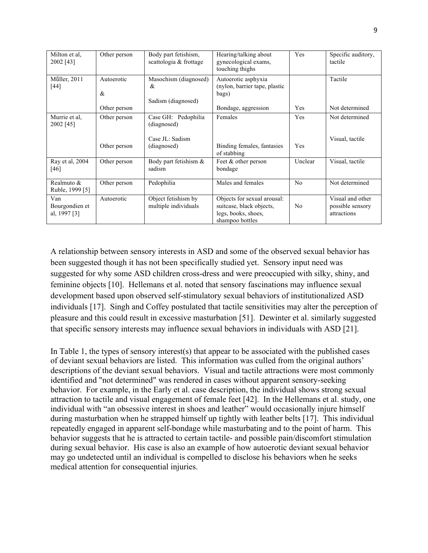| Milton et al.<br>2002 [43]            | Other person       | Body part fetishism,<br>scattologia & frottage   | Hearing/talking about<br>gynecological exams,<br>touching thighs                                  | Yes            | Specific auditory,<br>tactile                       |
|---------------------------------------|--------------------|--------------------------------------------------|---------------------------------------------------------------------------------------------------|----------------|-----------------------------------------------------|
| Müller, 2011<br>[44]                  | Autoerotic<br>$\&$ | Masochism (diagnosed)<br>&<br>Sadism (diagnosed) | Autoerotic asphyxia<br>(nylon, barrier tape, plastic<br>bags)                                     |                | Tactile                                             |
|                                       | Other person       |                                                  | Bondage, aggression                                                                               | Yes            | Not determined                                      |
| Murrie et al,<br>2002 [45]            | Other person       | Case GH: Pedophilia<br>(diagnosed)               | Females                                                                                           | Yes            | Not determined                                      |
|                                       | Other person       | Case JL: Sadism<br>(diagnosed)                   | Binding females, fantasies<br>of stabbing                                                         | Yes            | Visual, tactile                                     |
| Ray et al, 2004<br>[46]               | Other person       | Body part fetishism &<br>sadism                  | Feet & other person<br>bondage                                                                    | Unclear        | Visual, tactile                                     |
| Realmuto $\&$<br>Ruble, 1999 [5]      | Other person       | Pedophilia                                       | Males and females                                                                                 | N <sub>0</sub> | Not determined                                      |
| Van<br>Bourgondien et<br>al, 1997 [3] | Autoerotic         | Object fetishism by<br>multiple individuals      | Objects for sexual arousal:<br>suitcase, black objects,<br>legs, books, shoes,<br>shampoo bottles | N <sub>0</sub> | Visual and other<br>possible sensory<br>attractions |

A relationship between sensory interests in ASD and some of the observed sexual behavior has been suggested though it has not been specifically studied yet. Sensory input need was suggested for why some ASD children cross-dress and were preoccupied with silky, shiny, and feminine objects [10]. Hellemans et al. noted that sensory fascinations may influence sexual development based upon observed self-stimulatory sexual behaviors of institutionalized ASD individuals [17]. Singh and Coffey postulated that tactile sensitivities may alter the perception of pleasure and this could result in excessive masturbation [51]. Dewinter et al. similarly suggested that specific sensory interests may influence sexual behaviors in individuals with ASD [21].

In Table 1, the types of sensory interest(s) that appear to be associated with the published cases of deviant sexual behaviors are listed. This information was culled from the original authors' descriptions of the deviant sexual behaviors. Visual and tactile attractions were most commonly identified and "not determined" was rendered in cases without apparent sensory-seeking behavior. For example, in the Early et al. case description, the individual shows strong sexual attraction to tactile and visual engagement of female feet [42]. In the Hellemans et al. study, one individual with "an obsessive interest in shoes and leather" would occasionally injure himself during masturbation when he strapped himself up tightly with leather belts [17]. This individual repeatedly engaged in apparent self-bondage while masturbating and to the point of harm. This behavior suggests that he is attracted to certain tactile- and possible pain/discomfort stimulation during sexual behavior. His case is also an example of how autoerotic deviant sexual behavior may go undetected until an individual is compelled to disclose his behaviors when he seeks medical attention for consequential injuries.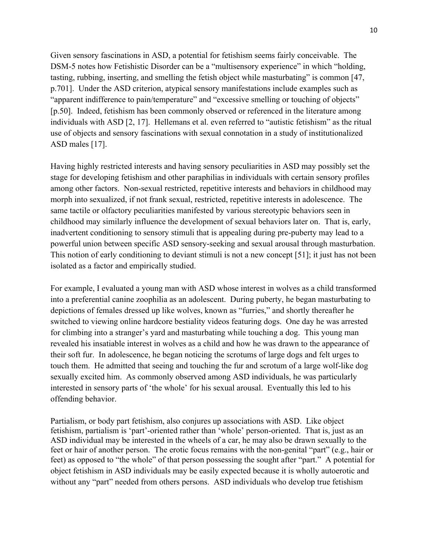Given sensory fascinations in ASD, a potential for fetishism seems fairly conceivable. The DSM-5 notes how Fetishistic Disorder can be a "multisensory experience" in which "holding, tasting, rubbing, inserting, and smelling the fetish object while masturbating" is common [47, p.701]. Under the ASD criterion, atypical sensory manifestations include examples such as "apparent indifference to pain/temperature" and "excessive smelling or touching of objects" [p.50]. Indeed, fetishism has been commonly observed or referenced in the literature among individuals with ASD [2, 17]. Hellemans et al. even referred to "autistic fetishism" as the ritual use of objects and sensory fascinations with sexual connotation in a study of institutionalized ASD males [17].

Having highly restricted interests and having sensory peculiarities in ASD may possibly set the stage for developing fetishism and other paraphilias in individuals with certain sensory profiles among other factors. Non-sexual restricted, repetitive interests and behaviors in childhood may morph into sexualized, if not frank sexual, restricted, repetitive interests in adolescence. The same tactile or olfactory peculiarities manifested by various stereotypic behaviors seen in childhood may similarly influence the development of sexual behaviors later on. That is, early, inadvertent conditioning to sensory stimuli that is appealing during pre-puberty may lead to a powerful union between specific ASD sensory-seeking and sexual arousal through masturbation. This notion of early conditioning to deviant stimuli is not a new concept [51]; it just has not been isolated as a factor and empirically studied.

For example, I evaluated a young man with ASD whose interest in wolves as a child transformed into a preferential canine zoophilia as an adolescent. During puberty, he began masturbating to depictions of females dressed up like wolves, known as "furries," and shortly thereafter he switched to viewing online hardcore bestiality videos featuring dogs. One day he was arrested for climbing into a stranger's yard and masturbating while touching a dog. This young man revealed his insatiable interest in wolves as a child and how he was drawn to the appearance of their soft fur. In adolescence, he began noticing the scrotums of large dogs and felt urges to touch them. He admitted that seeing and touching the fur and scrotum of a large wolf-like dog sexually excited him. As commonly observed among ASD individuals, he was particularly interested in sensory parts of 'the whole' for his sexual arousal. Eventually this led to his offending behavior.

Partialism, or body part fetishism, also conjures up associations with ASD. Like object fetishism, partialism is 'part'-oriented rather than 'whole' person-oriented. That is, just as an ASD individual may be interested in the wheels of a car, he may also be drawn sexually to the feet or hair of another person. The erotic focus remains with the non-genital "part" (e.g., hair or feet) as opposed to "the whole" of that person possessing the sought after "part." A potential for object fetishism in ASD individuals may be easily expected because it is wholly autoerotic and without any "part" needed from others persons. ASD individuals who develop true fetishism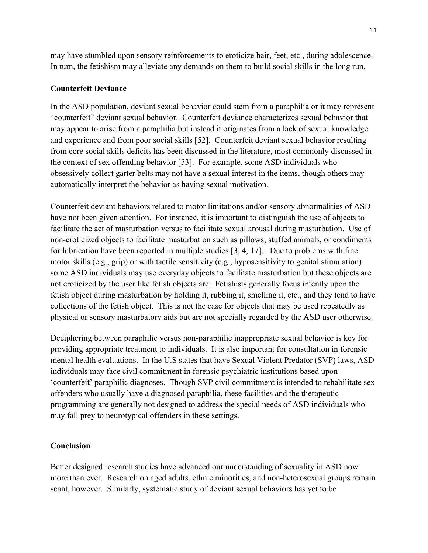may have stumbled upon sensory reinforcements to eroticize hair, feet, etc., during adolescence. In turn, the fetishism may alleviate any demands on them to build social skills in the long run.

## **Counterfeit Deviance**

In the ASD population, deviant sexual behavior could stem from a paraphilia or it may represent "counterfeit" deviant sexual behavior. Counterfeit deviance characterizes sexual behavior that may appear to arise from a paraphilia but instead it originates from a lack of sexual knowledge and experience and from poor social skills [52]. Counterfeit deviant sexual behavior resulting from core social skills deficits has been discussed in the literature, most commonly discussed in the context of sex offending behavior [53]. For example, some ASD individuals who obsessively collect garter belts may not have a sexual interest in the items, though others may automatically interpret the behavior as having sexual motivation.

Counterfeit deviant behaviors related to motor limitations and/or sensory abnormalities of ASD have not been given attention. For instance, it is important to distinguish the use of objects to facilitate the act of masturbation versus to facilitate sexual arousal during masturbation. Use of non-eroticized objects to facilitate masturbation such as pillows, stuffed animals, or condiments for lubrication have been reported in multiple studies [3, 4, 17]. Due to problems with fine motor skills (e.g., grip) or with tactile sensitivity (e.g., hyposensitivity to genital stimulation) some ASD individuals may use everyday objects to facilitate masturbation but these objects are not eroticized by the user like fetish objects are. Fetishists generally focus intently upon the fetish object during masturbation by holding it, rubbing it, smelling it, etc., and they tend to have collections of the fetish object. This is not the case for objects that may be used repeatedly as physical or sensory masturbatory aids but are not specially regarded by the ASD user otherwise.

Deciphering between paraphilic versus non-paraphilic inappropriate sexual behavior is key for providing appropriate treatment to individuals. It is also important for consultation in forensic mental health evaluations. In the U.S states that have Sexual Violent Predator (SVP) laws, ASD individuals may face civil commitment in forensic psychiatric institutions based upon 'counterfeit' paraphilic diagnoses. Though SVP civil commitment is intended to rehabilitate sex offenders who usually have a diagnosed paraphilia, these facilities and the therapeutic programming are generally not designed to address the special needs of ASD individuals who may fall prey to neurotypical offenders in these settings.

## **Conclusion**

Better designed research studies have advanced our understanding of sexuality in ASD now more than ever. Research on aged adults, ethnic minorities, and non-heterosexual groups remain scant, however. Similarly, systematic study of deviant sexual behaviors has yet to be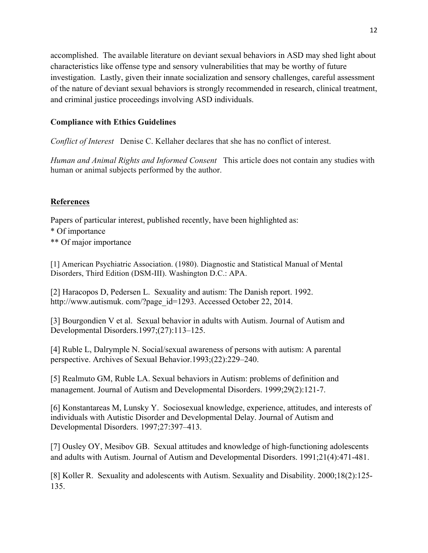accomplished. The available literature on deviant sexual behaviors in ASD may shed light about characteristics like offense type and sensory vulnerabilities that may be worthy of future investigation. Lastly, given their innate socialization and sensory challenges, careful assessment of the nature of deviant sexual behaviors is strongly recommended in research, clinical treatment, and criminal justice proceedings involving ASD individuals.

## **Compliance with Ethics Guidelines**

*Conflict of Interest* Denise C. Kellaher declares that she has no conflict of interest.

*Human and Animal Rights and Informed Consent* This article does not contain any studies with human or animal subjects performed by the author.

# **References**

Papers of particular interest, published recently, have been highlighted as:

- \* Of importance
- \*\* Of major importance

[1] American Psychiatric Association. (1980). Diagnostic and Statistical Manual of Mental Disorders, Third Edition (DSM-III). Washington D.C.: APA.

[2] Haracopos D, Pedersen L. Sexuality and autism: The Danish report. 1992. http://www.autismuk.com/?page\_id=1293. Accessed October 22, 2014.

[3] Bourgondien V et al. Sexual behavior in adults with Autism. Journal of Autism and Developmental Disorders.1997;(27):113–125.

[4] Ruble L, Dalrymple N. Social/sexual awareness of persons with autism: A parental perspective. Archives of Sexual Behavior.1993;(22):229–240.

[5] Realmuto GM, Ruble LA. Sexual behaviors in Autism: problems of definition and management. Journal of Autism and Developmental Disorders. 1999;29(2):121-7.

[6] Konstantareas M, Lunsky Y. Sociosexual knowledge, experience, attitudes, and interests of individuals with Autistic Disorder and Developmental Delay. Journal of Autism and Developmental Disorders. 1997;27:397–413.

[7] Ousley OY, Mesibov GB. Sexual attitudes and knowledge of high-functioning adolescents and adults with Autism. Journal of Autism and Developmental Disorders. 1991;21(4):471-481.

[8] Koller R. Sexuality and adolescents with Autism. Sexuality and Disability. 2000;18(2):125- 135.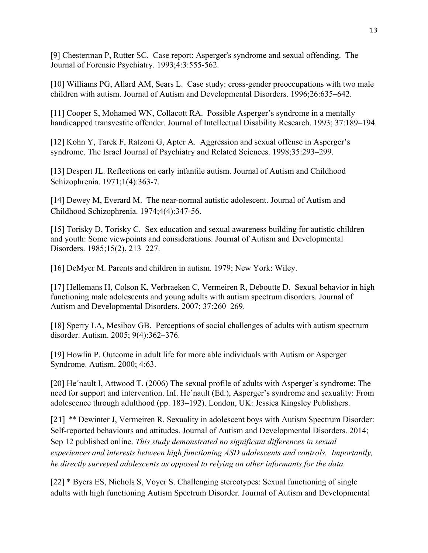[9] Chesterman P, Rutter SC. Case report: Asperger's syndrome and sexual offending. The Journal of Forensic Psychiatry. 1993;4:3:555-562.

[10] Williams PG, Allard AM, Sears L. Case study: cross-gender preoccupations with two male children with autism. Journal of Autism and Developmental Disorders. 1996;26:635–642.

[11] Cooper S, Mohamed WN, Collacott RA. Possible Asperger's syndrome in a mentally handicapped transvestite offender. Journal of Intellectual Disability Research. 1993; 37:189–194.

[12] Kohn Y, Tarek F, Ratzoni G, Apter A. Aggression and sexual offense in Asperger's syndrome. The Israel Journal of Psychiatry and Related Sciences. 1998;35:293–299.

[13] Despert JL. Reflections on early infantile autism. Journal of Autism and Childhood Schizophrenia. 1971;1(4):363-7.

[14] Dewey M, Everard M. The near-normal autistic adolescent. Journal of Autism and Childhood Schizophrenia. 1974;4(4):347-56.

[15] Torisky D, Torisky C. Sex education and sexual awareness building for autistic children and youth: Some viewpoints and considerations. Journal of Autism and Developmental Disorders. 1985;15(2), 213–227.

[16] DeMyer M. Parents and children in autism*.* 1979; New York: Wiley.

[17] Hellemans H, Colson K, Verbraeken C, Vermeiren R, Deboutte D. Sexual behavior in high functioning male adolescents and young adults with autism spectrum disorders. Journal of Autism and Developmental Disorders. 2007; 37:260–269.

[18] Sperry LA, Mesibov GB. Perceptions of social challenges of adults with autism spectrum disorder. Autism. 2005; 9(4):362–376.

[19] Howlin P. Outcome in adult life for more able individuals with Autism or Asperger Syndrome. Autism. 2000; 4:63.

[20] He´nault I, Attwood T. (2006) The sexual profile of adults with Asperger's syndrome: The need for support and intervention. InI. He´nault (Ed.), Asperger's syndrome and sexuality: From adolescence through adulthood (pp. 183–192). London, UK: Jessica Kingsley Publishers.

[21] \*\* Dewinter J, Vermeiren R. Sexuality in adolescent boys with Autism Spectrum Disorder: Self-reported behaviours and attitudes. Journal of Autism and Developmental Disorders. 2014; Sep 12 published online. *This study demonstrated no significant differences in sexual experiences and interests between high functioning ASD adolescents and controls. Importantly, he directly surveyed adolescents as opposed to relying on other informants for the data.*

[22] \* Byers ES, Nichols S, Voyer S. Challenging stereotypes: Sexual functioning of single adults with high functioning Autism Spectrum Disorder. Journal of Autism and Developmental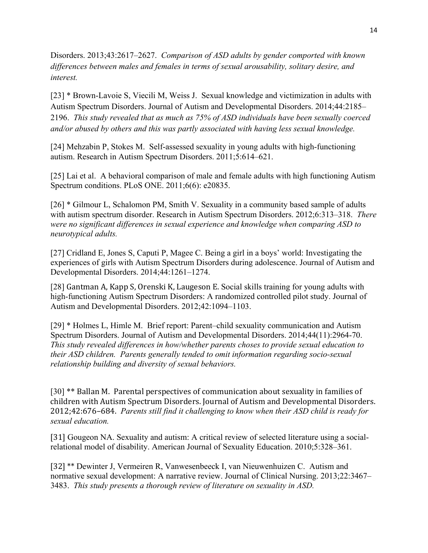Disorders. 2013;43:2617–2627. *Comparison of ASD adults by gender comported with known differences between males and females in terms of sexual arousability, solitary desire, and interest.*

[23] \* Brown-Lavoie S, Viecili M, Weiss J. Sexual knowledge and victimization in adults with Autism Spectrum Disorders. Journal of Autism and Developmental Disorders. 2014;44:2185– 2196. *This study revealed that as much as 75% of ASD individuals have been sexually coerced and/or abused by others and this was partly associated with having less sexual knowledge.*

[24] Mehzabin P, Stokes M. Self-assessed sexuality in young adults with high-functioning autism. Research in Autism Spectrum Disorders. 2011;5:614–621.

[25] Lai et al. A behavioral comparison of male and female adults with high functioning Autism Spectrum conditions. PLoS ONE. 2011;6(6): e20835.

[26] \* Gilmour L, Schalomon PM, Smith V. Sexuality in a community based sample of adults with autism spectrum disorder. Research in Autism Spectrum Disorders. 2012;6:313–318. *There were no significant differences in sexual experience and knowledge when comparing ASD to neurotypical adults.* 

[27] Cridland E, Jones S, Caputi P, Magee C. Being a girl in a boys' world: Investigating the experiences of girls with Autism Spectrum Disorders during adolescence. Journal of Autism and Developmental Disorders. 2014;44:1261–1274.

[28] Gantman A, Kapp S, Orenski K, Laugeson E. Social skills training for young adults with high-functioning Autism Spectrum Disorders: A randomized controlled pilot study. Journal of Autism and Developmental Disorders. 2012;42:1094–1103.

[29] \* Holmes L, Himle M. Brief report: Parent–child sexuality communication and Autism Spectrum Disorders. Journal of Autism and Developmental Disorders. 2014;44(11):2964-70. *This study revealed differences in how/whether parents choses to provide sexual education to their ASD children. Parents generally tended to omit information regarding socio-sexual relationship building and diversity of sexual behaviors.* 

[30] \*\* Ballan M. Parental perspectives of communication about sexuality in families of children with Autism Spectrum Disorders. Journal of Autism and Developmental Disorders. 2012;42:676–684. *Parents still find it challenging to know when their ASD child is ready for sexual education.* 

[31] Gougeon NA. Sexuality and autism: A critical review of selected literature using a socialrelational model of disability. American Journal of Sexuality Education. 2010;5:328–361.

[32] \*\* Dewinter J, Vermeiren R, Vanwesenbeeck I, van Nieuwenhuizen C. Autism and normative sexual development: A narrative review. Journal of Clinical Nursing. 2013;22:3467– 3483. *This study presents a thorough review of literature on sexuality in ASD.*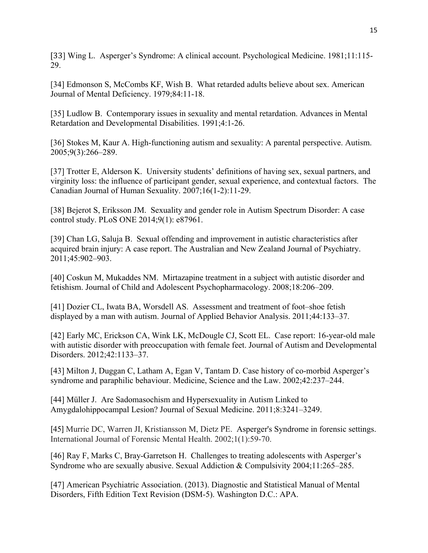[33] Wing L. Asperger's Syndrome: A clinical account. Psychological Medicine. 1981;11:115- 29.

[34] Edmonson S, McCombs KF, Wish B. What retarded adults believe about sex. American Journal of Mental Deficiency. 1979;84:11-18.

[35] Ludlow B. Contemporary issues in sexuality and mental retardation. Advances in Mental Retardation and Developmental Disabilities. 1991;4:1-26.

[36] Stokes M, Kaur A. High-functioning autism and sexuality: A parental perspective. Autism. 2005;9(3):266–289.

[37] Trotter E, Alderson K. University students' definitions of having sex, sexual partners, and virginity loss: the influence of participant gender, sexual experience, and contextual factors. The Canadian Journal of Human Sexuality. 2007;16(1-2):11-29.

[38] Bejerot S, Eriksson JM. Sexuality and gender role in Autism Spectrum Disorder: A case control study. PLoS ONE 2014;9(1): e87961.

[39] Chan LG, Saluja B. Sexual offending and improvement in autistic characteristics after acquired brain injury: A case report. The Australian and New Zealand Journal of Psychiatry. 2011;45:902–903.

[40] Coskun M, Mukaddes NM. Mirtazapine treatment in a subject with autistic disorder and fetishism. Journal of Child and Adolescent Psychopharmacology. 2008;18:206–209.

[41] Dozier CL, Iwata BA, Worsdell AS. Assessment and treatment of foot–shoe fetish displayed by a man with autism. Journal of Applied Behavior Analysis. 2011;44:133–37.

[42] Early MC, Erickson CA, Wink LK, McDougle CJ, Scott EL. Case report: 16-year-old male with autistic disorder with preoccupation with female feet. Journal of Autism and Developmental Disorders. 2012;42:1133–37.

[43] Milton J, Duggan C, Latham A, Egan V, Tantam D. Case history of co-morbid Asperger's syndrome and paraphilic behaviour. Medicine, Science and the Law. 2002;42:237–244.

[44] Müller J. Are Sadomasochism and Hypersexuality in Autism Linked to Amygdalohippocampal Lesion? Journal of Sexual Medicine. 2011;8:3241–3249.

[45] Murrie DC, Warren JI, Kristiansson M, Dietz PE. Asperger's Syndrome in forensic settings. International Journal of Forensic Mental Health. 2002;1(1):59-70.

[46] Ray F, Marks C, Bray-Garretson H. Challenges to treating adolescents with Asperger's Syndrome who are sexually abusive. Sexual Addiction & Compulsivity 2004;11:265–285.

[47] American Psychiatric Association. (2013). Diagnostic and Statistical Manual of Mental Disorders, Fifth Edition Text Revision (DSM-5). Washington D.C.: APA.